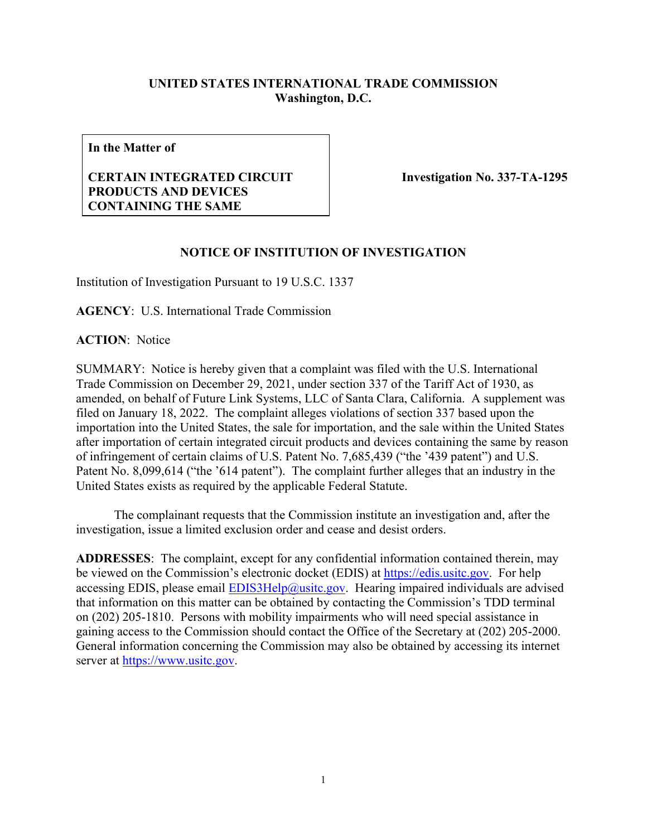## **UNITED STATES INTERNATIONAL TRADE COMMISSION Washington, D.C.**

**In the Matter of**

## **CERTAIN INTEGRATED CIRCUIT PRODUCTS AND DEVICES CONTAINING THE SAME**

 **Investigation No. 337-TA-1295**

## **NOTICE OF INSTITUTION OF INVESTIGATION**

Institution of Investigation Pursuant to 19 U.S.C. 1337

**AGENCY**: U.S. International Trade Commission

**ACTION**: Notice

SUMMARY: Notice is hereby given that a complaint was filed with the U.S. International Trade Commission on December 29, 2021, under section 337 of the Tariff Act of 1930, as amended, on behalf of Future Link Systems, LLC of Santa Clara, California. A supplement was filed on January 18, 2022. The complaint alleges violations of section 337 based upon the importation into the United States, the sale for importation, and the sale within the United States after importation of certain integrated circuit products and devices containing the same by reason of infringement of certain claims of U.S. Patent No. 7,685,439 ("the '439 patent") and U.S. Patent No. 8,099,614 ("the '614 patent"). The complaint further alleges that an industry in the United States exists as required by the applicable Federal Statute.

The complainant requests that the Commission institute an investigation and, after the investigation, issue a limited exclusion order and cease and desist orders.

**ADDRESSES**: The complaint, except for any confidential information contained therein, may be viewed on the Commission's electronic docket (EDIS) at [https://edis.usitc.gov.](https://edis.usitc.gov/) For help accessing EDIS, please email  $EDIS3Help@usite.gov$ . Hearing impaired individuals are advised that information on this matter can be obtained by contacting the Commission's TDD terminal on (202) 205-1810. Persons with mobility impairments who will need special assistance in gaining access to the Commission should contact the Office of the Secretary at (202) 205-2000. General information concerning the Commission may also be obtained by accessing its internet server at [https://www.usitc.gov.](https://www.usitc.gov/)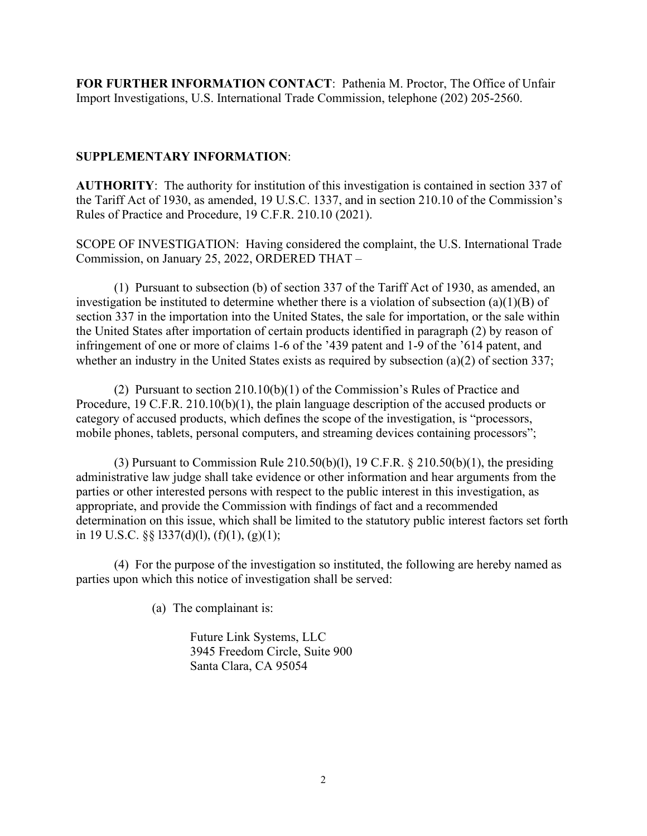**FOR FURTHER INFORMATION CONTACT**: Pathenia M. Proctor, The Office of Unfair Import Investigations, U.S. International Trade Commission, telephone (202) 205-2560.

## **SUPPLEMENTARY INFORMATION**:

**AUTHORITY**: The authority for institution of this investigation is contained in section 337 of the Tariff Act of 1930, as amended, 19 U.S.C. 1337, and in section 210.10 of the Commission's Rules of Practice and Procedure, 19 C.F.R. 210.10 (2021).

SCOPE OF INVESTIGATION: Having considered the complaint, the U.S. International Trade Commission, on January 25, 2022, ORDERED THAT –

(1) Pursuant to subsection (b) of section 337 of the Tariff Act of 1930, as amended, an investigation be instituted to determine whether there is a violation of subsection (a)(1)(B) of section 337 in the importation into the United States, the sale for importation, or the sale within the United States after importation of certain products identified in paragraph (2) by reason of infringement of one or more of claims 1-6 of the '439 patent and 1-9 of the '614 patent, and whether an industry in the United States exists as required by subsection (a)(2) of section 337;

(2) Pursuant to section 210.10(b)(1) of the Commission's Rules of Practice and Procedure, 19 C.F.R. 210.10(b)(1), the plain language description of the accused products or category of accused products, which defines the scope of the investigation, is "processors, mobile phones, tablets, personal computers, and streaming devices containing processors";

(3) Pursuant to Commission Rule  $210.50(b)(1)$ , 19 C.F.R. §  $210.50(b)(1)$ , the presiding administrative law judge shall take evidence or other information and hear arguments from the parties or other interested persons with respect to the public interest in this investigation, as appropriate, and provide the Commission with findings of fact and a recommended determination on this issue, which shall be limited to the statutory public interest factors set forth in 19 U.S.C.  $\S$   $\S$  1337(d)(1), (f)(1), (g)(1);

(4) For the purpose of the investigation so instituted, the following are hereby named as parties upon which this notice of investigation shall be served:

(a) The complainant is:

Future Link Systems, LLC 3945 Freedom Circle, Suite 900 Santa Clara, CA 95054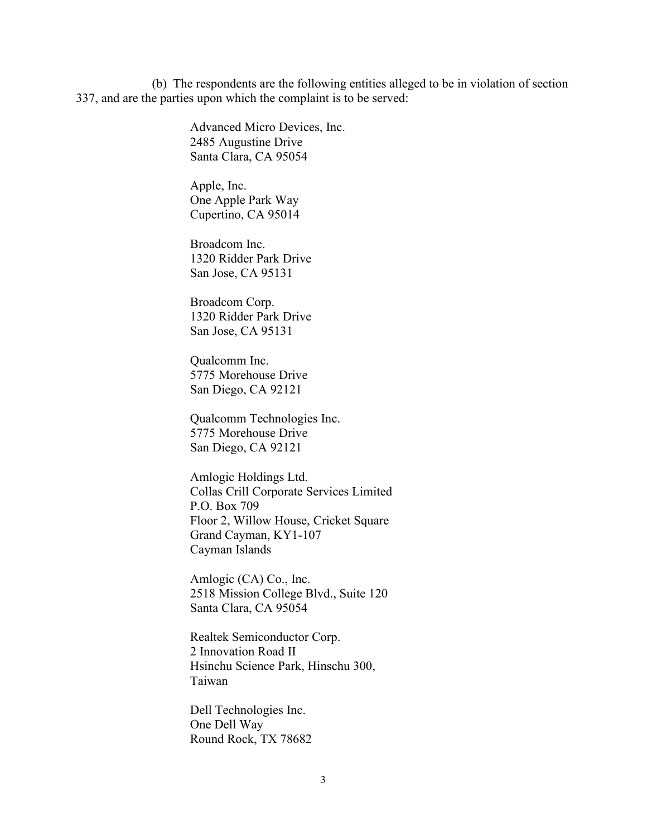(b) The respondents are the following entities alleged to be in violation of section 337, and are the parties upon which the complaint is to be served:

> Advanced Micro Devices, Inc. 2485 Augustine Drive Santa Clara, CA 95054

Apple, Inc. One Apple Park Way Cupertino, CA 95014

Broadcom Inc. 1320 Ridder Park Drive San Jose, CA 95131

Broadcom Corp. 1320 Ridder Park Drive San Jose, CA 95131

Qualcomm Inc. 5775 Morehouse Drive San Diego, CA 92121

Qualcomm Technologies Inc. 5775 Morehouse Drive San Diego, CA 92121

Amlogic Holdings Ltd. Collas Crill Corporate Services Limited P.O. Box 709 Floor 2, Willow House, Cricket Square Grand Cayman, KY1-107 Cayman Islands

Amlogic (CA) Co., Inc. 2518 Mission College Blvd., Suite 120 Santa Clara, CA 95054

Realtek Semiconductor Corp. 2 Innovation Road II Hsinchu Science Park, Hinschu 300, Taiwan

Dell Technologies Inc. One Dell Way Round Rock, TX 78682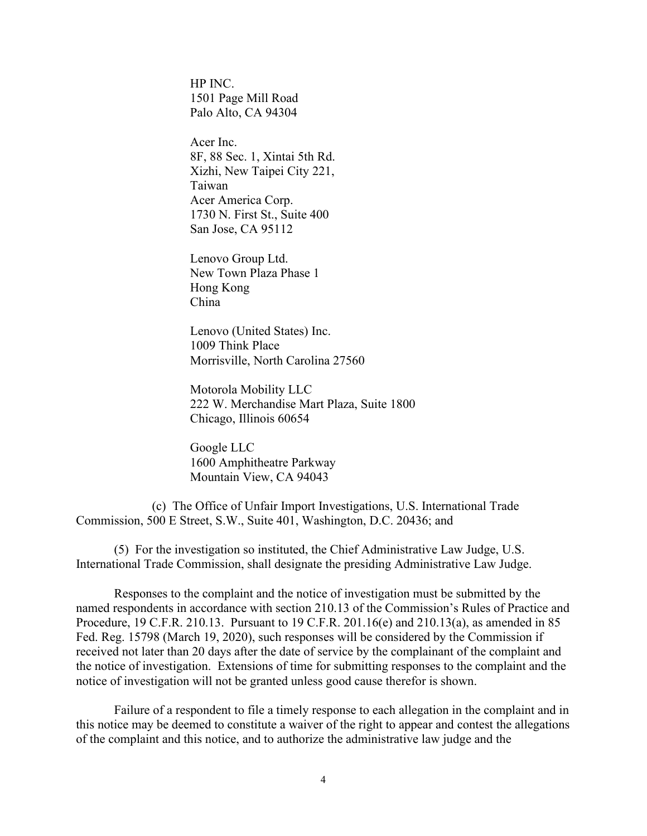HP INC. 1501 Page Mill Road Palo Alto, CA 94304

Acer Inc. 8F, 88 Sec. 1, Xintai 5th Rd. Xizhi, New Taipei City 221, Taiwan Acer America Corp. 1730 N. First St., Suite 400 San Jose, CA 95112

Lenovo Group Ltd. New Town Plaza Phase 1 Hong Kong China

Lenovo (United States) Inc. 1009 Think Place Morrisville, North Carolina 27560

Motorola Mobility LLC 222 W. Merchandise Mart Plaza, Suite 1800 Chicago, Illinois 60654

Google LLC 1600 Amphitheatre Parkway Mountain View, CA 94043

(c) The Office of Unfair Import Investigations, U.S. International Trade Commission, 500 E Street, S.W., Suite 401, Washington, D.C. 20436; and

(5) For the investigation so instituted, the Chief Administrative Law Judge, U.S. International Trade Commission, shall designate the presiding Administrative Law Judge.

Responses to the complaint and the notice of investigation must be submitted by the named respondents in accordance with section 210.13 of the Commission's Rules of Practice and Procedure, 19 C.F.R. 210.13. Pursuant to 19 C.F.R. 201.16(e) and 210.13(a), as amended in 85 Fed. Reg. 15798 (March 19, 2020), such responses will be considered by the Commission if received not later than 20 days after the date of service by the complainant of the complaint and the notice of investigation. Extensions of time for submitting responses to the complaint and the notice of investigation will not be granted unless good cause therefor is shown.

Failure of a respondent to file a timely response to each allegation in the complaint and in this notice may be deemed to constitute a waiver of the right to appear and contest the allegations of the complaint and this notice, and to authorize the administrative law judge and the